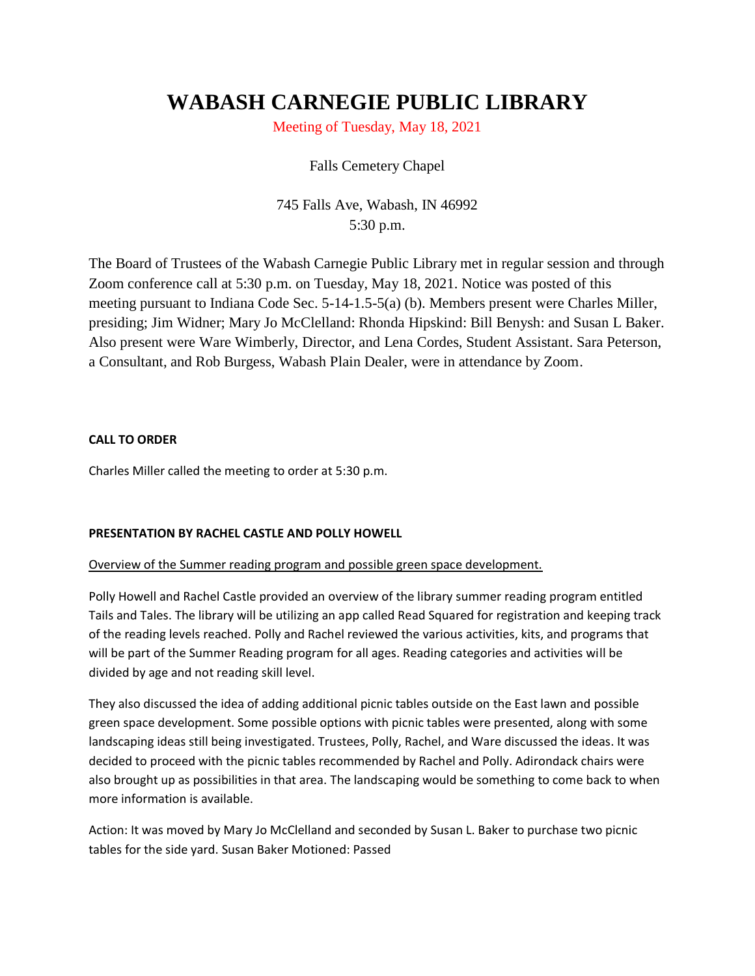# **WABASH CARNEGIE PUBLIC LIBRARY**

Meeting of Tuesday, May 18, 2021

## Falls Cemetery Chapel

745 Falls Ave, Wabash, IN 46992 5:30 p.m.

The Board of Trustees of the Wabash Carnegie Public Library met in regular session and through Zoom conference call at 5:30 p.m. on Tuesday, May 18, 2021. Notice was posted of this meeting pursuant to Indiana Code Sec. 5-14-1.5-5(a) (b). Members present were Charles Miller, presiding; Jim Widner; Mary Jo McClelland: Rhonda Hipskind: Bill Benysh: and Susan L Baker. Also present were Ware Wimberly, Director, and Lena Cordes, Student Assistant. Sara Peterson, a Consultant, and Rob Burgess, Wabash Plain Dealer, were in attendance by Zoom.

## **CALL TO ORDER**

Charles Miller called the meeting to order at 5:30 p.m.

## **PRESENTATION BY RACHEL CASTLE AND POLLY HOWELL**

## Overview of the Summer reading program and possible green space development.

Polly Howell and Rachel Castle provided an overview of the library summer reading program entitled Tails and Tales. The library will be utilizing an app called Read Squared for registration and keeping track of the reading levels reached. Polly and Rachel reviewed the various activities, kits, and programs that will be part of the Summer Reading program for all ages. Reading categories and activities will be divided by age and not reading skill level.

They also discussed the idea of adding additional picnic tables outside on the East lawn and possible green space development. Some possible options with picnic tables were presented, along with some landscaping ideas still being investigated. Trustees, Polly, Rachel, and Ware discussed the ideas. It was decided to proceed with the picnic tables recommended by Rachel and Polly. Adirondack chairs were also brought up as possibilities in that area. The landscaping would be something to come back to when more information is available.

Action: It was moved by Mary Jo McClelland and seconded by Susan L. Baker to purchase two picnic tables for the side yard. Susan Baker Motioned: Passed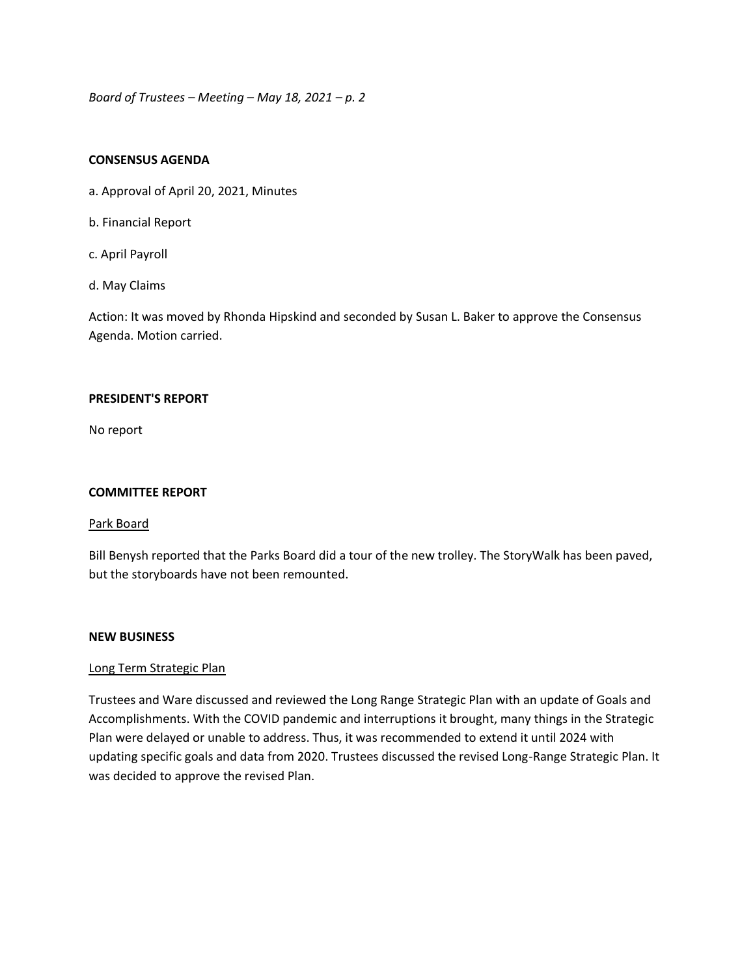#### **CONSENSUS AGENDA**

- a. Approval of April 20, 2021, Minutes
- b. Financial Report
- c. April Payroll
- d. May Claims

Action: It was moved by Rhonda Hipskind and seconded by Susan L. Baker to approve the Consensus Agenda. Motion carried.

#### **PRESIDENT'S REPORT**

No report

## **COMMITTEE REPORT**

#### Park Board

Bill Benysh reported that the Parks Board did a tour of the new trolley. The StoryWalk has been paved, but the storyboards have not been remounted.

#### **NEW BUSINESS**

## Long Term Strategic Plan

Trustees and Ware discussed and reviewed the Long Range Strategic Plan with an update of Goals and Accomplishments. With the COVID pandemic and interruptions it brought, many things in the Strategic Plan were delayed or unable to address. Thus, it was recommended to extend it until 2024 with updating specific goals and data from 2020. Trustees discussed the revised Long-Range Strategic Plan. It was decided to approve the revised Plan.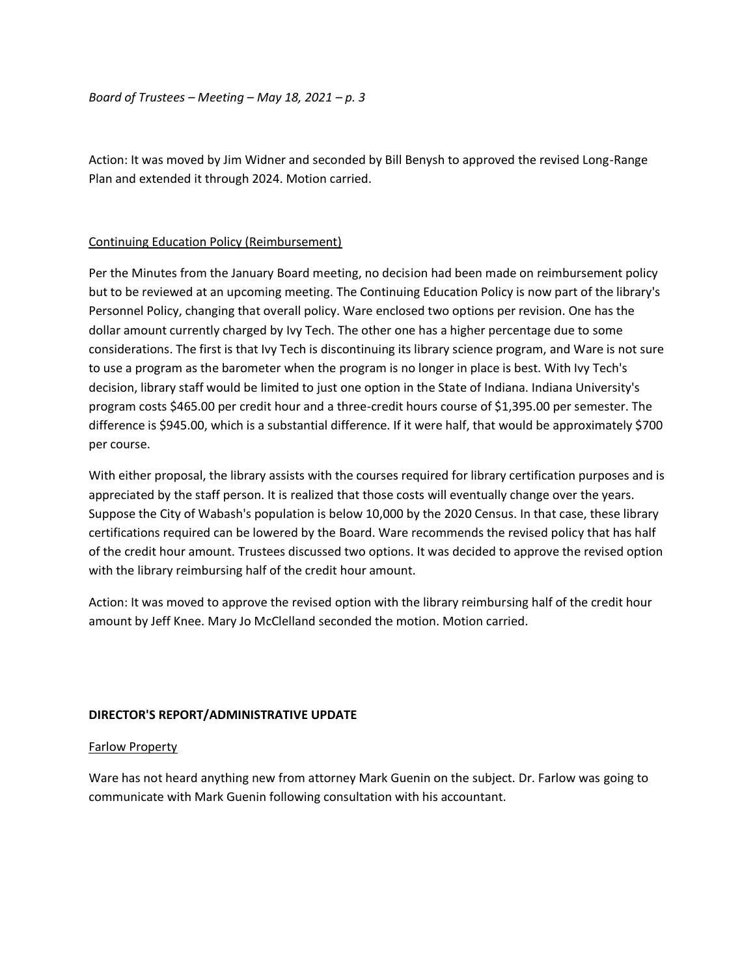Action: It was moved by Jim Widner and seconded by Bill Benysh to approved the revised Long-Range Plan and extended it through 2024. Motion carried.

## Continuing Education Policy (Reimbursement)

Per the Minutes from the January Board meeting, no decision had been made on reimbursement policy but to be reviewed at an upcoming meeting. The Continuing Education Policy is now part of the library's Personnel Policy, changing that overall policy. Ware enclosed two options per revision. One has the dollar amount currently charged by Ivy Tech. The other one has a higher percentage due to some considerations. The first is that Ivy Tech is discontinuing its library science program, and Ware is not sure to use a program as the barometer when the program is no longer in place is best. With Ivy Tech's decision, library staff would be limited to just one option in the State of Indiana. Indiana University's program costs \$465.00 per credit hour and a three-credit hours course of \$1,395.00 per semester. The difference is \$945.00, which is a substantial difference. If it were half, that would be approximately \$700 per course.

With either proposal, the library assists with the courses required for library certification purposes and is appreciated by the staff person. It is realized that those costs will eventually change over the years. Suppose the City of Wabash's population is below 10,000 by the 2020 Census. In that case, these library certifications required can be lowered by the Board. Ware recommends the revised policy that has half of the credit hour amount. Trustees discussed two options. It was decided to approve the revised option with the library reimbursing half of the credit hour amount.

Action: It was moved to approve the revised option with the library reimbursing half of the credit hour amount by Jeff Knee. Mary Jo McClelland seconded the motion. Motion carried.

## **DIRECTOR'S REPORT/ADMINISTRATIVE UPDATE**

#### Farlow Property

Ware has not heard anything new from attorney Mark Guenin on the subject. Dr. Farlow was going to communicate with Mark Guenin following consultation with his accountant.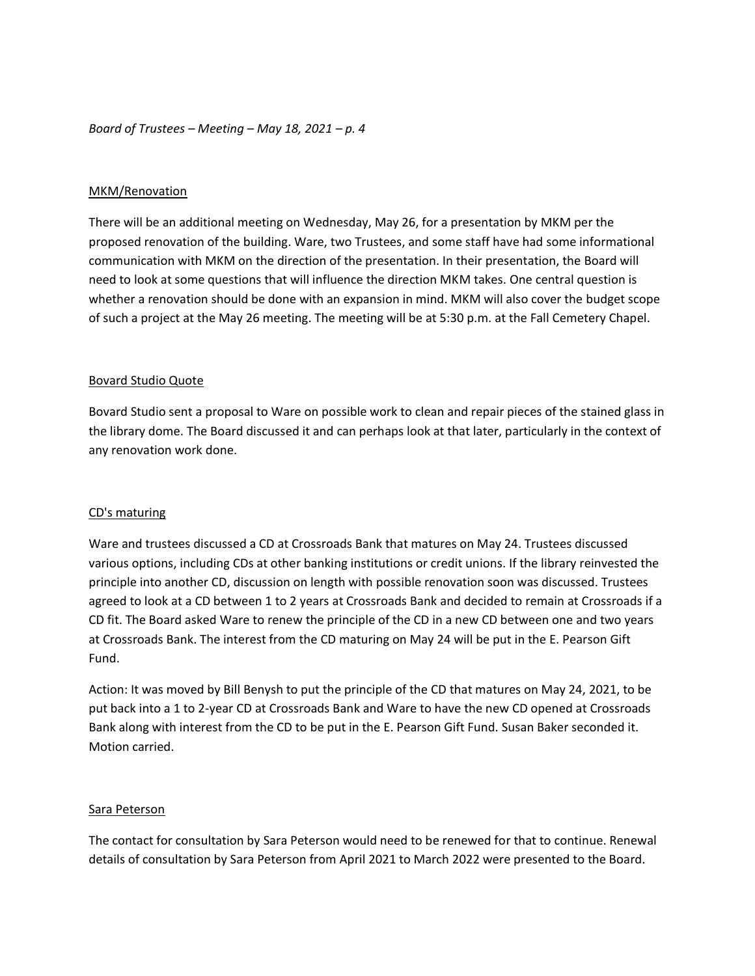## MKM/Renovation

There will be an additional meeting on Wednesday, May 26, for a presentation by MKM per the proposed renovation of the building. Ware, two Trustees, and some staff have had some informational communication with MKM on the direction of the presentation. In their presentation, the Board will need to look at some questions that will influence the direction MKM takes. One central question is whether a renovation should be done with an expansion in mind. MKM will also cover the budget scope of such a project at the May 26 meeting. The meeting will be at 5:30 p.m. at the Fall Cemetery Chapel.

## Bovard Studio Quote

Bovard Studio sent a proposal to Ware on possible work to clean and repair pieces of the stained glass in the library dome. The Board discussed it and can perhaps look at that later, particularly in the context of any renovation work done.

#### CD's maturing

Ware and trustees discussed a CD at Crossroads Bank that matures on May 24. Trustees discussed various options, including CDs at other banking institutions or credit unions. If the library reinvested the principle into another CD, discussion on length with possible renovation soon was discussed. Trustees agreed to look at a CD between 1 to 2 years at Crossroads Bank and decided to remain at Crossroads if a CD fit. The Board asked Ware to renew the principle of the CD in a new CD between one and two years at Crossroads Bank. The interest from the CD maturing on May 24 will be put in the E. Pearson Gift Fund.

Action: It was moved by Bill Benysh to put the principle of the CD that matures on May 24, 2021, to be put back into a 1 to 2-year CD at Crossroads Bank and Ware to have the new CD opened at Crossroads Bank along with interest from the CD to be put in the E. Pearson Gift Fund. Susan Baker seconded it. Motion carried.

#### Sara Peterson

The contact for consultation by Sara Peterson would need to be renewed for that to continue. Renewal details of consultation by Sara Peterson from April 2021 to March 2022 were presented to the Board.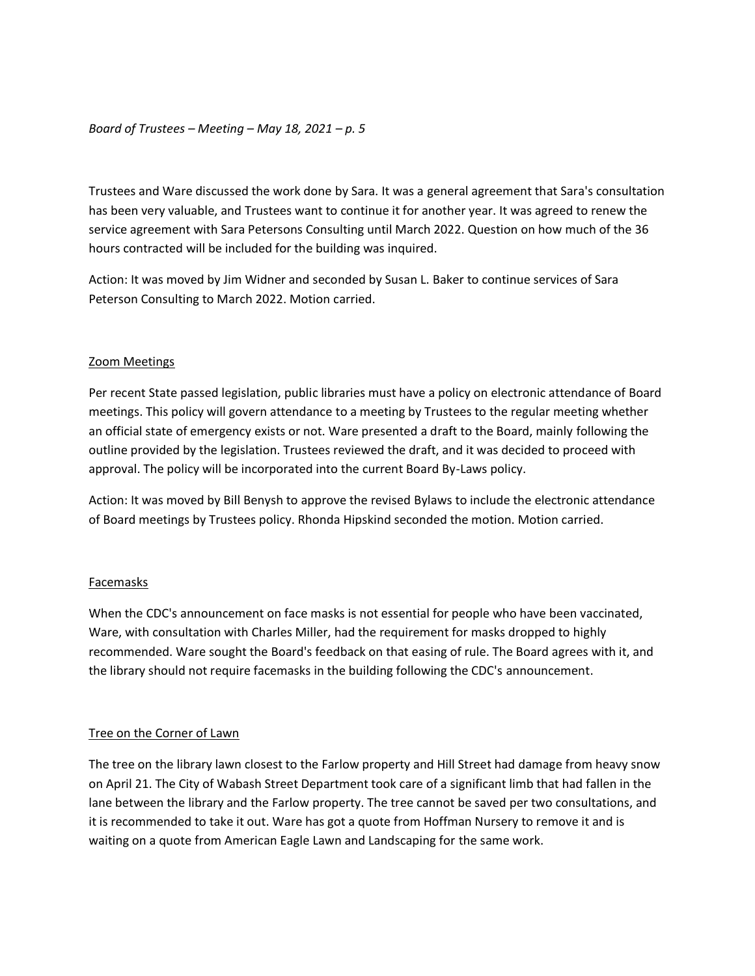Trustees and Ware discussed the work done by Sara. It was a general agreement that Sara's consultation has been very valuable, and Trustees want to continue it for another year. It was agreed to renew the service agreement with Sara Petersons Consulting until March 2022. Question on how much of the 36 hours contracted will be included for the building was inquired.

Action: It was moved by Jim Widner and seconded by Susan L. Baker to continue services of Sara Peterson Consulting to March 2022. Motion carried.

#### Zoom Meetings

Per recent State passed legislation, public libraries must have a policy on electronic attendance of Board meetings. This policy will govern attendance to a meeting by Trustees to the regular meeting whether an official state of emergency exists or not. Ware presented a draft to the Board, mainly following the outline provided by the legislation. Trustees reviewed the draft, and it was decided to proceed with approval. The policy will be incorporated into the current Board By-Laws policy.

Action: It was moved by Bill Benysh to approve the revised Bylaws to include the electronic attendance of Board meetings by Trustees policy. Rhonda Hipskind seconded the motion. Motion carried.

#### Facemasks

When the CDC's announcement on face masks is not essential for people who have been vaccinated, Ware, with consultation with Charles Miller, had the requirement for masks dropped to highly recommended. Ware sought the Board's feedback on that easing of rule. The Board agrees with it, and the library should not require facemasks in the building following the CDC's announcement.

#### Tree on the Corner of Lawn

The tree on the library lawn closest to the Farlow property and Hill Street had damage from heavy snow on April 21. The City of Wabash Street Department took care of a significant limb that had fallen in the lane between the library and the Farlow property. The tree cannot be saved per two consultations, and it is recommended to take it out. Ware has got a quote from Hoffman Nursery to remove it and is waiting on a quote from American Eagle Lawn and Landscaping for the same work.